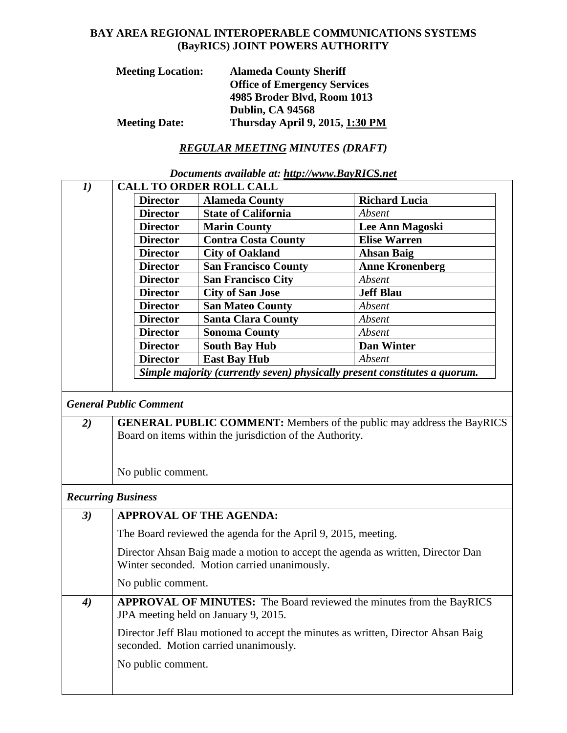## **BAY AREA REGIONAL INTEROPERABLE COMMUNICATIONS SYSTEMS (BayRICS) JOINT POWERS AUTHORITY**

| <b>Meeting Location:</b> | <b>Alameda County Sheriff</b>          |
|--------------------------|----------------------------------------|
|                          | <b>Office of Emergency Services</b>    |
|                          | 4985 Broder Blvd, Room 1013            |
|                          | Dublin, CA 94568                       |
| <b>Meeting Date:</b>     | <b>Thursday April 9, 2015, 1:30 PM</b> |

## *REGULAR MEETING MINUTES (DRAFT)*

*Documents available at: http://www.BayRICS.net 1)* **CALL TO ORDER ROLL CALL Director Alameda County Richard Lucia Director State of California** *Absent*  **Director Marin County Lee Ann Magoski Director Contra Costa County Elise Warren Director City of Oakland Ahsan Baig Director San Francisco County Anne Kronenberg Director San Francisco City** *Absent*  **Director City of San Jose Jeff Blau Director San Mateo County** *Absent* **Director Santa Clara County** *Absent*  **Director Sonoma County** *Absent* **Director South Bay Hub Dan Winter Director East Bay Hub** *Absent Simple majority (currently seven) physically present constitutes a quorum. General Public Comment 2)* **GENERAL PUBLIC COMMENT:** Members of the public may address the BayRICS Board on items within the jurisdiction of the Authority. No public comment. *Recurring Business 3)* **APPROVAL OF THE AGENDA:**  The Board reviewed the agenda for the April 9, 2015, meeting. Director Ahsan Baig made a motion to accept the agenda as written, Director Dan Winter seconded. Motion carried unanimously. No public comment. *4)* **APPROVAL OF MINUTES:** The Board reviewed the minutes from the BayRICS JPA meeting held on January 9, 2015. Director Jeff Blau motioned to accept the minutes as written, Director Ahsan Baig seconded. Motion carried unanimously. No public comment.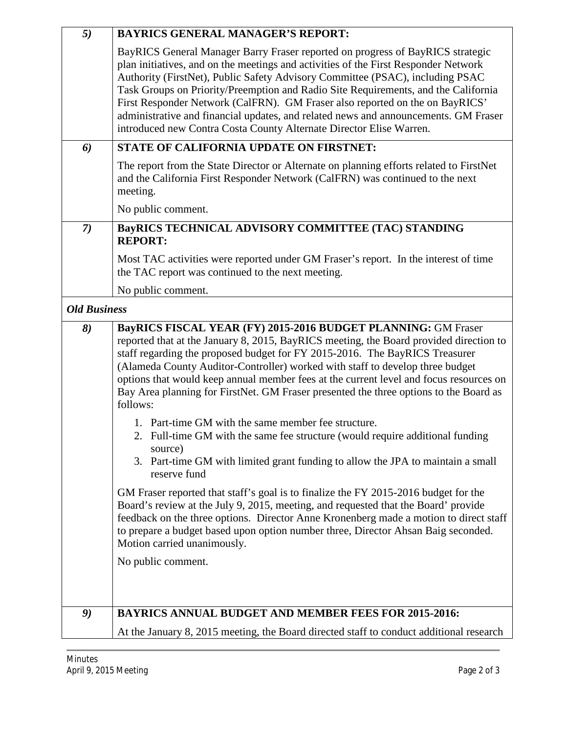| 5)                  | <b>BAYRICS GENERAL MANAGER'S REPORT:</b>                                                                                                                                                                                                                                                                                                                                                                                                                                                                                                                                                                                                                                                                                                                                                                                                                                                                                                                                                                                                                                                                                                                                                     |
|---------------------|----------------------------------------------------------------------------------------------------------------------------------------------------------------------------------------------------------------------------------------------------------------------------------------------------------------------------------------------------------------------------------------------------------------------------------------------------------------------------------------------------------------------------------------------------------------------------------------------------------------------------------------------------------------------------------------------------------------------------------------------------------------------------------------------------------------------------------------------------------------------------------------------------------------------------------------------------------------------------------------------------------------------------------------------------------------------------------------------------------------------------------------------------------------------------------------------|
|                     | BayRICS General Manager Barry Fraser reported on progress of BayRICS strategic<br>plan initiatives, and on the meetings and activities of the First Responder Network<br>Authority (FirstNet), Public Safety Advisory Committee (PSAC), including PSAC<br>Task Groups on Priority/Preemption and Radio Site Requirements, and the California<br>First Responder Network (CalFRN). GM Fraser also reported on the on BayRICS'<br>administrative and financial updates, and related news and announcements. GM Fraser<br>introduced new Contra Costa County Alternate Director Elise Warren.                                                                                                                                                                                                                                                                                                                                                                                                                                                                                                                                                                                                   |
| 6)                  | STATE OF CALIFORNIA UPDATE ON FIRSTNET:                                                                                                                                                                                                                                                                                                                                                                                                                                                                                                                                                                                                                                                                                                                                                                                                                                                                                                                                                                                                                                                                                                                                                      |
|                     | The report from the State Director or Alternate on planning efforts related to FirstNet<br>and the California First Responder Network (CalFRN) was continued to the next<br>meeting.                                                                                                                                                                                                                                                                                                                                                                                                                                                                                                                                                                                                                                                                                                                                                                                                                                                                                                                                                                                                         |
|                     | No public comment.                                                                                                                                                                                                                                                                                                                                                                                                                                                                                                                                                                                                                                                                                                                                                                                                                                                                                                                                                                                                                                                                                                                                                                           |
| $\mathcal{I}$       | BayRICS TECHNICAL ADVISORY COMMITTEE (TAC) STANDING<br><b>REPORT:</b>                                                                                                                                                                                                                                                                                                                                                                                                                                                                                                                                                                                                                                                                                                                                                                                                                                                                                                                                                                                                                                                                                                                        |
|                     | Most TAC activities were reported under GM Fraser's report. In the interest of time<br>the TAC report was continued to the next meeting.                                                                                                                                                                                                                                                                                                                                                                                                                                                                                                                                                                                                                                                                                                                                                                                                                                                                                                                                                                                                                                                     |
|                     | No public comment.                                                                                                                                                                                                                                                                                                                                                                                                                                                                                                                                                                                                                                                                                                                                                                                                                                                                                                                                                                                                                                                                                                                                                                           |
| <b>Old Business</b> |                                                                                                                                                                                                                                                                                                                                                                                                                                                                                                                                                                                                                                                                                                                                                                                                                                                                                                                                                                                                                                                                                                                                                                                              |
| 8)                  | BayRICS FISCAL YEAR (FY) 2015-2016 BUDGET PLANNING: GM Fraser<br>reported that at the January 8, 2015, BayRICS meeting, the Board provided direction to<br>staff regarding the proposed budget for FY 2015-2016. The BayRICS Treasurer<br>(Alameda County Auditor-Controller) worked with staff to develop three budget<br>options that would keep annual member fees at the current level and focus resources on<br>Bay Area planning for FirstNet. GM Fraser presented the three options to the Board as<br>follows:<br>1. Part-time GM with the same member fee structure.<br>2. Full-time GM with the same fee structure (would require additional funding<br>source)<br>3. Part-time GM with limited grant funding to allow the JPA to maintain a small<br>reserve fund<br>GM Fraser reported that staff's goal is to finalize the FY 2015-2016 budget for the<br>Board's review at the July 9, 2015, meeting, and requested that the Board' provide<br>feedback on the three options. Director Anne Kronenberg made a motion to direct staff<br>to prepare a budget based upon option number three, Director Ahsan Baig seconded.<br>Motion carried unanimously.<br>No public comment. |
| 9)                  | <b>BAYRICS ANNUAL BUDGET AND MEMBER FEES FOR 2015-2016:</b>                                                                                                                                                                                                                                                                                                                                                                                                                                                                                                                                                                                                                                                                                                                                                                                                                                                                                                                                                                                                                                                                                                                                  |
|                     | At the January 8, 2015 meeting, the Board directed staff to conduct additional research                                                                                                                                                                                                                                                                                                                                                                                                                                                                                                                                                                                                                                                                                                                                                                                                                                                                                                                                                                                                                                                                                                      |